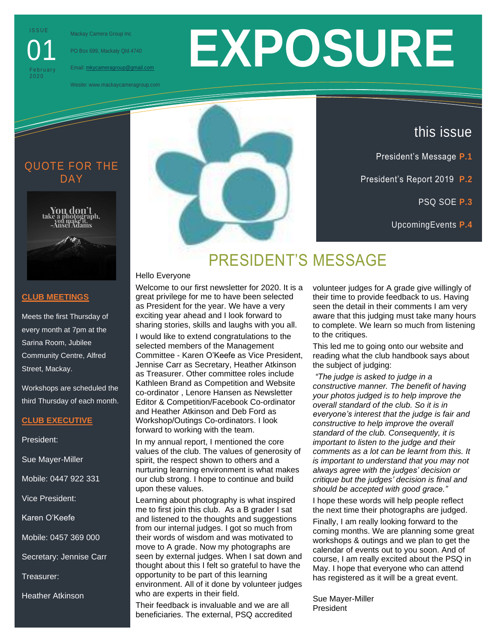**ISSUE** 

01

**February** 

Mackay Camera Group Inc

PO Box 699, Mackaty Qld 4740

Email: mkycameragroup@gmail.com

Wesite: www.mackaycameragroup.com

# **EXPOSURE**

# QUOTE FOR THE DAY<sub></sub>



# **EE**

this issue

President's Message **P.1**

President's Report 2019 **P.2**

PSQ SOE **P.3**

UpcomingEvents **P.4**

## **CLUB MEETINGS**

Meets the first Thursday of every month at 7pm at the Sarina Room, Jubilee Community Centre, Alfred Street, Mackay.

Workshops are scheduled the third Thursday of each month.

# **CLUB EXECUTIVE**

President:

Sue Mayer-Miller

Mobile: 0447 922 331

Vice President:

Karen O'Keefe

Mobile: 0457 369 000

Secretary: Jennise Carr

Treasurer:

Heather Atkinson

# PRESIDENT'S MESSAGE

Hello Everyone

Welcome to our first newsletter for 2020. It is a great privilege for me to have been selected as President for the year. We have a very exciting year ahead and I look forward to sharing stories, skills and laughs with you all.

I would like to extend congratulations to the selected members of the Management Committee - Karen O'Keefe as Vice President, Jennise Carr as Secretary, Heather Atkinson as Treasurer. Other committee roles include Kathleen Brand as Competition and Website co-ordinator , Lenore Hansen as Newsletter Editor & Competition/Facebook Co-ordinator and Heather Atkinson and Deb Ford as Workshop/Outings Co-ordinators. I look forward to working with the team.

In my annual report, I mentioned the core values of the club. The values of generosity of spirit, the respect shown to others and a nurturing learning environment is what makes our club strong. I hope to continue and build upon these values.

Learning about photography is what inspired me to first join this club. As a B grader I sat and listened to the thoughts and suggestions from our internal judges. I got so much from their words of wisdom and was motivated to move to A grade. Now my photographs are seen by external judges. When I sat down and thought about this I felt so grateful to have the opportunity to be part of this learning environment. All of it done by volunteer judges who are experts in their field.

Their feedback is invaluable and we are all beneficiaries. The external, PSQ accredited volunteer judges for A grade give willingly of their time to provide feedback to us. Having seen the detail in their comments I am very aware that this judging must take many hours to complete. We learn so much from listening to the critiques.

This led me to going onto our website and reading what the club handbook says about the subject of judging:

*"The judge is asked to judge in a constructive manner. The benefit of having your photos judged is to help improve the overall standard of the club. So it is in everyone's interest that the judge is fair and constructive to help improve the overall standard of the club. Consequently, it is important to listen to the judge and their comments as a lot can be learnt from this. It is important to understand that you may not always agree with the judges' decision or critique but the judges' decision is final and should be accepted with good grace."*

I hope these words will help people reflect the next time their photographs are judged. Finally, I am really looking forward to the coming months. We are planning some great workshops & outings and we plan to get the calendar of events out to you soon. And of course, I am really excited about the PSQ in May. I hope that everyone who can attend has registered as it will be a great event.

Sue Mayer-Miller President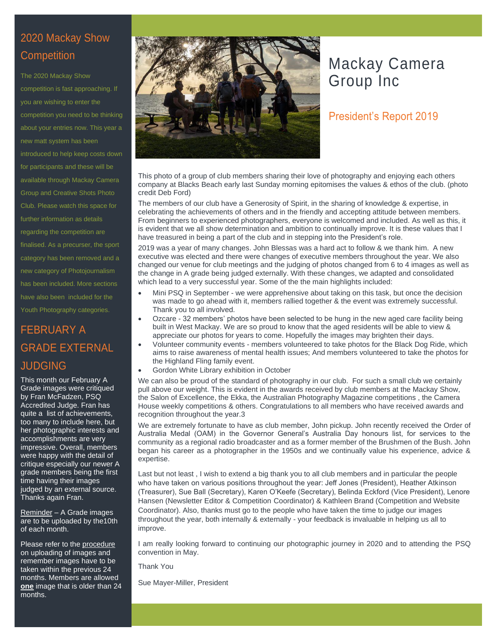# 2020 Mackay Show **Competition**

The 2020 Mackay Show competition is fast approaching. If you are wishing to enter the competition you need to be thinking about your entries now. This year a new matt system has been introduced to help keep costs down for participants and these will be available through Mackay Camera Group and Creative Shots Photo Club. Please watch this space for further information as details regarding the competition are finalised. As a precurser, the sport category has been removed and a new category of Photojournalism has been included. More sections have also been included for the Youth Photography categories.

# FEBRUARY A GRADE EXTERNAL JUDGING

This month our February A Grade images were critiqued by Fran McFadzen, PSQ Accredited Judge. Fran has quite a list of achievements, too many to include here, but her photographic interests and accomplishments are very impressive. Overall, members were happy with the detail of critique especially our newer A grade members being the first time having their images judged by an external source. Thanks again Fran.

Reminder – A Grade images are to be uploaded by the10th of each month.

Please refer to the procedure on uploading of images and remember images have to be taken within the previous 24 months. Members are allowed **one** image that is older than 24 months.



# Mackay Camera Group Inc

# President's Report 2019

This photo of a group of club members sharing their love of photography and enjoying each others company at Blacks Beach early last Sunday morning epitomises the values & ethos of the club. (photo credit Deb Ford)

The members of our club have a Generosity of Spirit, in the sharing of knowledge & expertise, in celebrating the achievements of others and in the friendly and accepting attitude between members. From beginners to experienced photographers, everyone is welcomed and included. As well as this, it is evident that we all show determination and ambition to continually improve. It is these values that I have treasured in being a part of the club and in stepping into the President's role.

2019 was a year of many changes. John Blessas was a hard act to follow & we thank him. A new executive was elected and there were changes of executive members throughout the year. We also changed our venue for club meetings and the judging of photos changed from 6 to 4 images as well as the change in A grade being judged externally. With these changes, we adapted and consolidated which lead to a very successful year. Some of the the main highlights included:

- Mini PSQ in September we were apprehensive about taking on this task, but once the decision was made to go ahead with it, members rallied together & the event was extremely successful. Thank you to all involved.
- Ozcare 32 members' photos have been selected to be hung in the new aged care facility being built in West Mackay. We are so proud to know that the aged residents will be able to view & appreciate our photos for years to come. Hopefully the images may brighten their days.
- Volunteer community events members volunteered to take photos for the Black Dog Ride, which aims to raise awareness of mental health issues; And members volunteered to take the photos for the Highland Fling family event.
- Gordon White Library exhibition in October

We can also be proud of the standard of photography in our club. For such a small club we certainly pull above our weight. This is evident in the awards received by club members at the Mackay Show, the Salon of Excellence, the Ekka, the Australian Photography Magazine competitions , the Camera House weekly competitions & others. Congratulations to all members who have received awards and recognition throughout the year.3

We are extremely fortunate to have as club member, John pickup. John recently received the Order of Australia Medal (OAM) in the Governor General's Australia Day honours list, for services to the community as a regional radio broadcaster and as a former member of the Brushmen of the Bush. John began his career as a photographer in the 1950s and we continually value his experience, advice & expertise.

Last but not least , I wish to extend a big thank you to all club members and in particular the people who have taken on various positions throughout the year: Jeff Jones (President), Heather Atkinson (Treasurer), Sue Ball (Secretary), Karen O'Keefe (Secretary), Belinda Eckford (Vice President), Lenore Hansen (Newsletter Editor & Competition Coordinator) & Kathleen Brand (Competition and Website Coordinator). Also, thanks must go to the people who have taken the time to judge our images throughout the year, both internally & externally - your feedback is invaluable in helping us all to improve.

I am really looking forward to continuing our photographic journey in 2020 and to attending the PSQ convention in May.

Thank You

Sue Mayer-Miller, President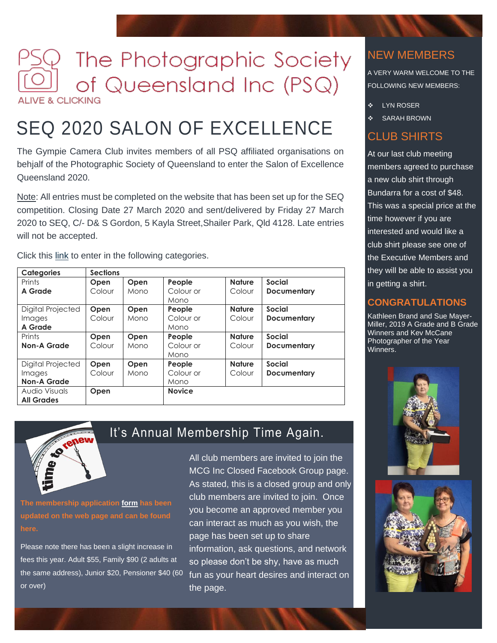# The Photographic Society of Queensland Inc (PSQ) **ALIVE & CLICKING**

# SEQ 2020 SALON OF EXCELLENCE

The Gympie Camera Club invites members of all PSQ affiliated organisations on behjalf of the Photographic Society of Queensland to enter the Salon of Excellence Queensland 2020.

Note: All entries must be completed on the website that has been set up for the SEQ competition. Closing Date 27 March 2020 and sent/delivered by Friday 27 March 2020 to SEQ, C/- D& S Gordon, 5 Kayla Street,Shailer Park, Qld 4128. Late entries will not be accepted.

Click this link to enter in the following categories.

| <b>Categories</b>  | <b>Sections</b> |      |               |               |                    |
|--------------------|-----------------|------|---------------|---------------|--------------------|
| Prints             | Open            | Open | People        | <b>Nature</b> | <b>Social</b>      |
| A Grade            | Colour          | Mono | Colour or     | Colour        | <b>Documentary</b> |
|                    |                 |      | Mono          |               |                    |
| Digital Projected  | Open            | Open | People        | <b>Nature</b> | Social             |
| Images             | Colour          | Mono | Colour or     | Colour        | <b>Documentary</b> |
| A Grade            |                 |      | Mono          |               |                    |
| Prints             | Open            | Open | People        | <b>Nature</b> | Social             |
| <b>Non-A Grade</b> | Colour          | Mono | Colour or     | Colour        | <b>Documentary</b> |
|                    |                 |      | Mono          |               |                    |
| Digital Projected  | Open            | Open | People        | <b>Nature</b> | <b>Social</b>      |
| Images             | Colour          | Mono | Colour or     | Colour        | <b>Documentary</b> |
| <b>Non-A Grade</b> |                 |      | Mono          |               |                    |
| Audio Visuals      | Open            |      | <b>Novice</b> |               |                    |
| <b>All Grades</b>  |                 |      |               |               |                    |



It's Annual Membership Time Again.

**The membership application form has been updated on the web page and can be found here.**

Please note there has been a slight increase in fees this year. Adult \$55, Family \$90 (2 adults at or over)

the same address), Junior \$20, Pensioner \$40 (60 fun as your heart desires and interact on All club members are invited to join the MCG Inc Closed Facebook Group page. As stated, this is a closed group and only club members are invited to join. Once you become an approved member you can interact as much as you wish, the page has been set up to share information, ask questions, and network so please don't be shy, have as much the page.

# NEW MEMBERS

A VERY WARM WELCOME TO THE FOLLOWING NEW MEMBERS:

- ❖ LYN ROSER
- SARAH BROWN

# CLUB SHIRTS

At our last club meeting members agreed to purchase a new club shirt through Bundarra for a cost of \$48. This was a special price at the time however if you are interested and would like a club shirt please see one of the Executive Members and they will be able to assist you in getting a shirt.

# **CONGRATULATIONS**

Kathleen Brand and Sue Mayer-Miller, 2019 A Grade and B Grade Winners and Kev McCane Photographer of the Year Winners.